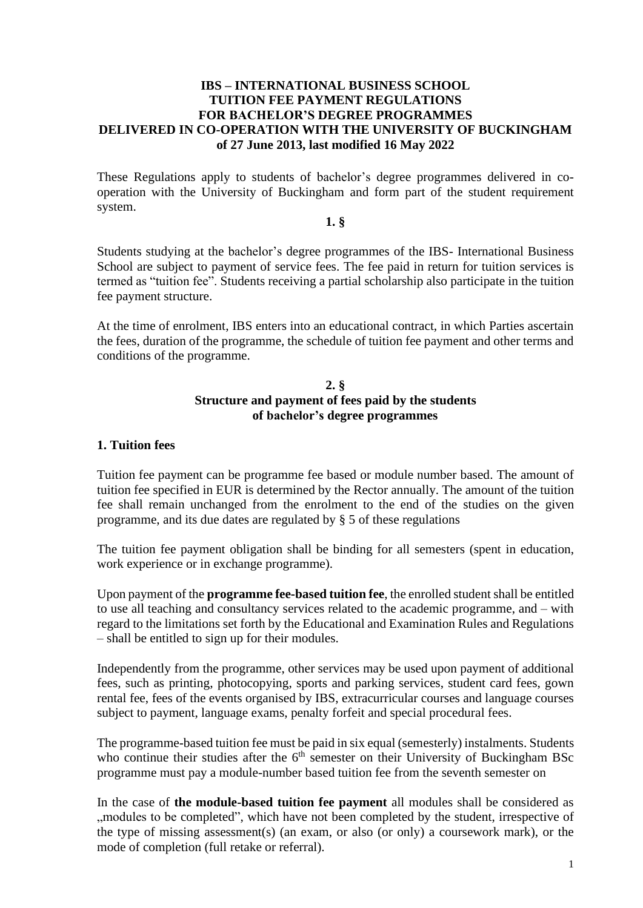#### **IBS – INTERNATIONAL BUSINESS SCHOOL TUITION FEE PAYMENT REGULATIONS FOR BACHELOR'S DEGREE PROGRAMMES DELIVERED IN CO-OPERATION WITH THE UNIVERSITY OF BUCKINGHAM of 27 June 2013, last modified 16 May 2022**

These Regulations apply to students of bachelor's degree programmes delivered in cooperation with the University of Buckingham and form part of the student requirement system.

#### **1. §**

Students studying at the bachelor's degree programmes of the IBS- International Business School are subject to payment of service fees. The fee paid in return for tuition services is termed as "tuition fee". Students receiving a partial scholarship also participate in the tuition fee payment structure.

At the time of enrolment, IBS enters into an educational contract, in which Parties ascertain the fees, duration of the programme, the schedule of tuition fee payment and other terms and conditions of the programme.

#### **2. § Structure and payment of fees paid by the students of bachelor's degree programmes**

#### **1. Tuition fees**

Tuition fee payment can be programme fee based or module number based. The amount of tuition fee specified in EUR is determined by the Rector annually. The amount of the tuition fee shall remain unchanged from the enrolment to the end of the studies on the given programme, and its due dates are regulated by § 5 of these regulations

The tuition fee payment obligation shall be binding for all semesters (spent in education, work experience or in exchange programme).

Upon payment of the **programme fee-based tuition fee**, the enrolled student shall be entitled to use all teaching and consultancy services related to the academic programme, and – with regard to the limitations set forth by the Educational and Examination Rules and Regulations – shall be entitled to sign up for their modules.

Independently from the programme, other services may be used upon payment of additional fees, such as printing, photocopying, sports and parking services, student card fees, gown rental fee, fees of the events organised by IBS, extracurricular courses and language courses subject to payment, language exams, penalty forfeit and special procedural fees.

The programme-based tuition fee must be paid in six equal (semesterly) instalments. Students who continue their studies after the  $6<sup>th</sup>$  semester on their University of Buckingham BSc programme must pay a module-number based tuition fee from the seventh semester on

In the case of **the module-based tuition fee payment** all modules shall be considered as ,,modules to be completed", which have not been completed by the student, irrespective of the type of missing assessment(s) (an exam, or also (or only) a coursework mark), or the mode of completion (full retake or referral).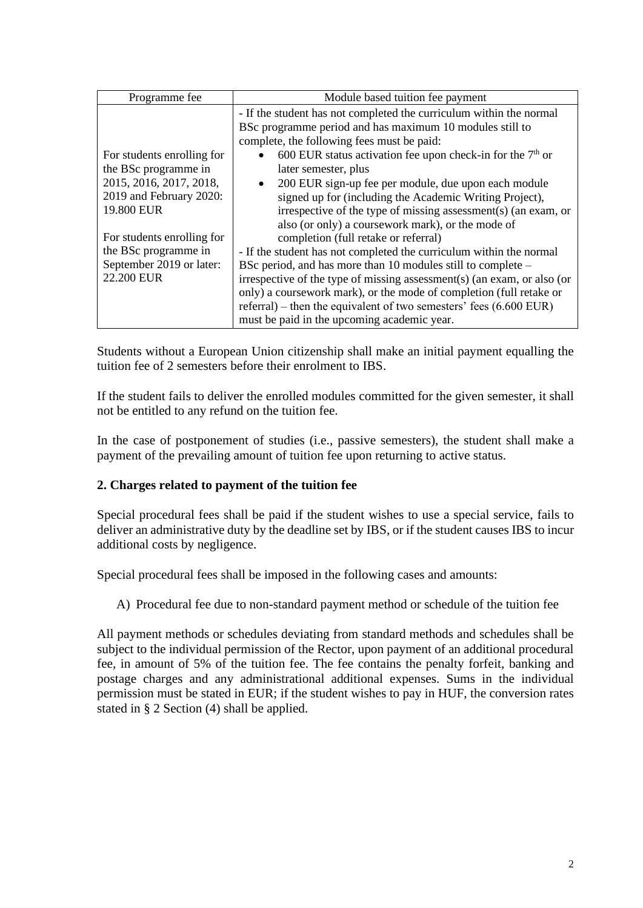| Programme fee                                                                                                                                                                                                          | Module based tuition fee payment                                                                                                                                                                                                                                                                                                                                                                                                                                                                                                                                                                                                                                                                                                                                                                                                                                                                                                                   |
|------------------------------------------------------------------------------------------------------------------------------------------------------------------------------------------------------------------------|----------------------------------------------------------------------------------------------------------------------------------------------------------------------------------------------------------------------------------------------------------------------------------------------------------------------------------------------------------------------------------------------------------------------------------------------------------------------------------------------------------------------------------------------------------------------------------------------------------------------------------------------------------------------------------------------------------------------------------------------------------------------------------------------------------------------------------------------------------------------------------------------------------------------------------------------------|
| For students enrolling for<br>the BSc programme in<br>2015, 2016, 2017, 2018,<br>2019 and February 2020:<br>19.800 EUR<br>For students enrolling for<br>the BSc programme in<br>September 2019 or later:<br>22.200 EUR | - If the student has not completed the curriculum within the normal<br>BSc programme period and has maximum 10 modules still to<br>complete, the following fees must be paid:<br>600 EUR status activation fee upon check-in for the $7th$ or<br>$\bullet$<br>later semester, plus<br>200 EUR sign-up fee per module, due upon each module<br>$\bullet$<br>signed up for (including the Academic Writing Project),<br>irrespective of the type of missing assessment(s) (an exam, or<br>also (or only) a coursework mark), or the mode of<br>completion (full retake or referral)<br>- If the student has not completed the curriculum within the normal<br>BSc period, and has more than 10 modules still to complete –<br>irrespective of the type of missing assessment(s) (an exam, or also (or<br>only) a coursework mark), or the mode of completion (full retake or<br>referral) – then the equivalent of two semesters' fees $(6.600$ EUR) |
|                                                                                                                                                                                                                        | must be paid in the upcoming academic year.                                                                                                                                                                                                                                                                                                                                                                                                                                                                                                                                                                                                                                                                                                                                                                                                                                                                                                        |

Students without a European Union citizenship shall make an initial payment equalling the tuition fee of 2 semesters before their enrolment to IBS.

If the student fails to deliver the enrolled modules committed for the given semester, it shall not be entitled to any refund on the tuition fee.

In the case of postponement of studies (i.e., passive semesters), the student shall make a payment of the prevailing amount of tuition fee upon returning to active status.

## **2. Charges related to payment of the tuition fee**

Special procedural fees shall be paid if the student wishes to use a special service, fails to deliver an administrative duty by the deadline set by IBS, or if the student causes IBS to incur additional costs by negligence.

Special procedural fees shall be imposed in the following cases and amounts:

A) Procedural fee due to non-standard payment method or schedule of the tuition fee

All payment methods or schedules deviating from standard methods and schedules shall be subject to the individual permission of the Rector, upon payment of an additional procedural fee, in amount of 5% of the tuition fee. The fee contains the penalty forfeit, banking and postage charges and any administrational additional expenses. Sums in the individual permission must be stated in EUR; if the student wishes to pay in HUF, the conversion rates stated in § 2 Section (4) shall be applied.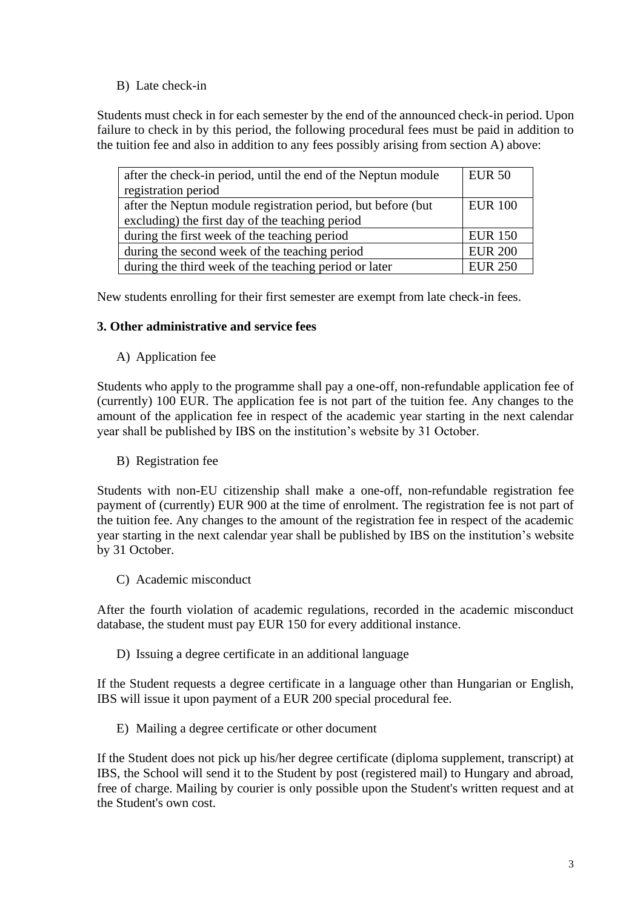## B) Late check-in

Students must check in for each semester by the end of the announced check-in period. Upon failure to check in by this period, the following procedural fees must be paid in addition to the tuition fee and also in addition to any fees possibly arising from section A) above:

| after the check-in period, until the end of the Neptun module | <b>EUR 50</b>  |
|---------------------------------------------------------------|----------------|
| registration period                                           |                |
| after the Neptun module registration period, but before (but  | <b>EUR 100</b> |
| excluding) the first day of the teaching period               |                |
| during the first week of the teaching period                  | <b>EUR 150</b> |
| during the second week of the teaching period                 | <b>EUR 200</b> |
| during the third week of the teaching period or later         | <b>EUR 250</b> |

New students enrolling for their first semester are exempt from late check-in fees.

## **3. Other administrative and service fees**

A) Application fee

Students who apply to the programme shall pay a one-off, non-refundable application fee of (currently) 100 EUR. The application fee is not part of the tuition fee. Any changes to the amount of the application fee in respect of the academic year starting in the next calendar year shall be published by IBS on the institution's website by 31 October.

B) Registration fee

Students with non-EU citizenship shall make a one-off, non-refundable registration fee payment of (currently) EUR 900 at the time of enrolment. The registration fee is not part of the tuition fee. Any changes to the amount of the registration fee in respect of the academic year starting in the next calendar year shall be published by IBS on the institution's website by 31 October.

C) Academic misconduct

After the fourth violation of academic regulations, recorded in the academic misconduct database, the student must pay EUR 150 for every additional instance.

D) Issuing a degree certificate in an additional language

If the Student requests a degree certificate in a language other than Hungarian or English, IBS will issue it upon payment of a EUR 200 special procedural fee.

E) Mailing a degree certificate or other document

If the Student does not pick up his/her degree certificate (diploma supplement, transcript) at IBS, the School will send it to the Student by post (registered mail) to Hungary and abroad, free of charge. Mailing by courier is only possible upon the Student's written request and at the Student's own cost.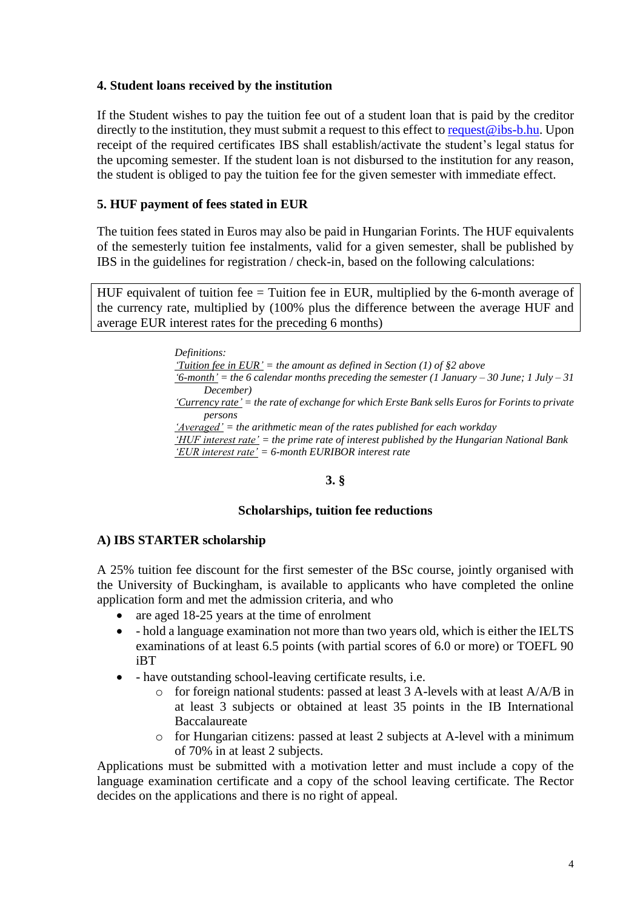## **4. Student loans received by the institution**

If the Student wishes to pay the tuition fee out of a student loan that is paid by the creditor directly to the institution, they must submit a request to this effect t[o request@ibs-b.hu.](mailto:request@ibs-b.hu) Upon receipt of the required certificates IBS shall establish/activate the student's legal status for the upcoming semester. If the student loan is not disbursed to the institution for any reason, the student is obliged to pay the tuition fee for the given semester with immediate effect.

## **5. HUF payment of fees stated in EUR**

The tuition fees stated in Euros may also be paid in Hungarian Forints. The HUF equivalents of the semesterly tuition fee instalments, valid for a given semester, shall be published by IBS in the guidelines for registration / check-in, based on the following calculations:

HUF equivalent of tuition fee = Tuition fee in EUR, multiplied by the 6-month average of the currency rate, multiplied by (100% plus the difference between the average HUF and average EUR interest rates for the preceding 6 months)

> *Definitions: 'Tuition fee in EUR' = the amount as defined in Section (1) of §2 above*  $f_0$ -month' = the 6 calendar months preceding the semester (1 January – 30 June; 1 July – 31 *December) 'Currency rate' = the rate of exchange for which Erste Bank sells Euros for Forints to private persons 'Averaged' = the arithmetic mean of the rates published for each workday 'HUF interest rate' = the prime rate of interest published by the Hungarian National Bank 'EUR interest rate' = 6-month EURIBOR interest rate*

#### **3. §**

#### **Scholarships, tuition fee reductions**

#### **A) IBS STARTER scholarship**

A 25% tuition fee discount for the first semester of the BSc course, jointly organised with the University of Buckingham, is available to applicants who have completed the online application form and met the admission criteria, and who

- are aged 18-25 years at the time of enrolment
- - hold a language examination not more than two years old, which is either the IELTS examinations of at least 6.5 points (with partial scores of 6.0 or more) or TOEFL 90 iBT
- - have outstanding school-leaving certificate results, i.e.
	- o for foreign national students: passed at least 3 A-levels with at least A/A/B in at least 3 subjects or obtained at least 35 points in the IB International Baccalaureate
	- o for Hungarian citizens: passed at least 2 subjects at A-level with a minimum of 70% in at least 2 subjects.

Applications must be submitted with a motivation letter and must include a copy of the language examination certificate and a copy of the school leaving certificate. The Rector decides on the applications and there is no right of appeal.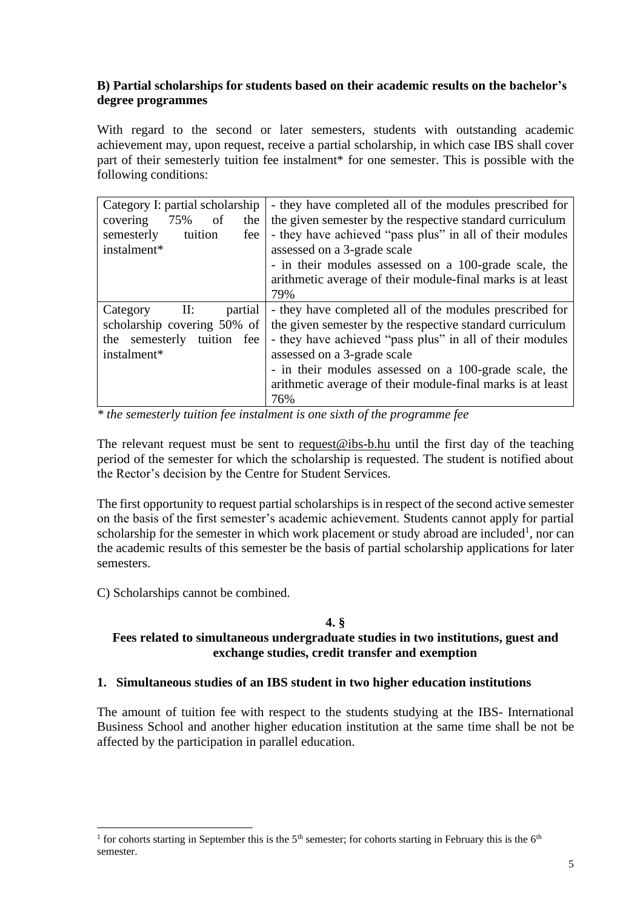## **B) Partial scholarships for students based on their academic results on the bachelor's degree programmes**

With regard to the second or later semesters, students with outstanding academic achievement may, upon request, receive a partial scholarship, in which case IBS shall cover part of their semesterly tuition fee instalment\* for one semester. This is possible with the following conditions:

| Category I: partial scholarship<br>covering<br>75%<br>of<br>the<br>semesterly<br>tuition<br>fee<br>instalment*                            | - they have completed all of the modules prescribed for<br>the given semester by the respective standard curriculum<br>- they have achieved "pass plus" in all of their modules<br>assessed on a 3-grade scale<br>- in their modules assessed on a 100-grade scale, the<br>arithmetic average of their module-final marks is at least<br>79% |
|-------------------------------------------------------------------------------------------------------------------------------------------|----------------------------------------------------------------------------------------------------------------------------------------------------------------------------------------------------------------------------------------------------------------------------------------------------------------------------------------------|
| $\mathop{\mathrm{II}:}\nolimits$<br>partial<br>Category<br>scholarship covering 50% of<br>semesterly<br>tuition fee<br>the<br>instalment* | - they have completed all of the modules prescribed for<br>the given semester by the respective standard curriculum<br>- they have achieved "pass plus" in all of their modules<br>assessed on a 3-grade scale<br>- in their modules assessed on a 100-grade scale, the<br>arithmetic average of their module-final marks is at least<br>76% |

*\* the semesterly tuition fee instalment is one sixth of the programme fee*

The relevant request must be sent to  $request@ibs-b.hu$  until the first day of the teaching</u> period of the semester for which the scholarship is requested. The student is notified about the Rector's decision by the Centre for Student Services.

The first opportunity to request partial scholarships is in respect of the second active semester on the basis of the first semester's academic achievement. Students cannot apply for partial scholarship for the semester in which work placement or study abroad are included<sup>1</sup>, nor can the academic results of this semester be the basis of partial scholarship applications for later semesters.

C) Scholarships cannot be combined.

# **4. §**

## **Fees related to simultaneous undergraduate studies in two institutions, guest and exchange studies, credit transfer and exemption**

## **1. Simultaneous studies of an IBS student in two higher education institutions**

The amount of tuition fee with respect to the students studying at the IBS- International Business School and another higher education institution at the same time shall be not be affected by the participation in parallel education.

<sup>&</sup>lt;sup>1</sup> for cohorts starting in September this is the 5<sup>th</sup> semester; for cohorts starting in February this is the 6<sup>th</sup> semester.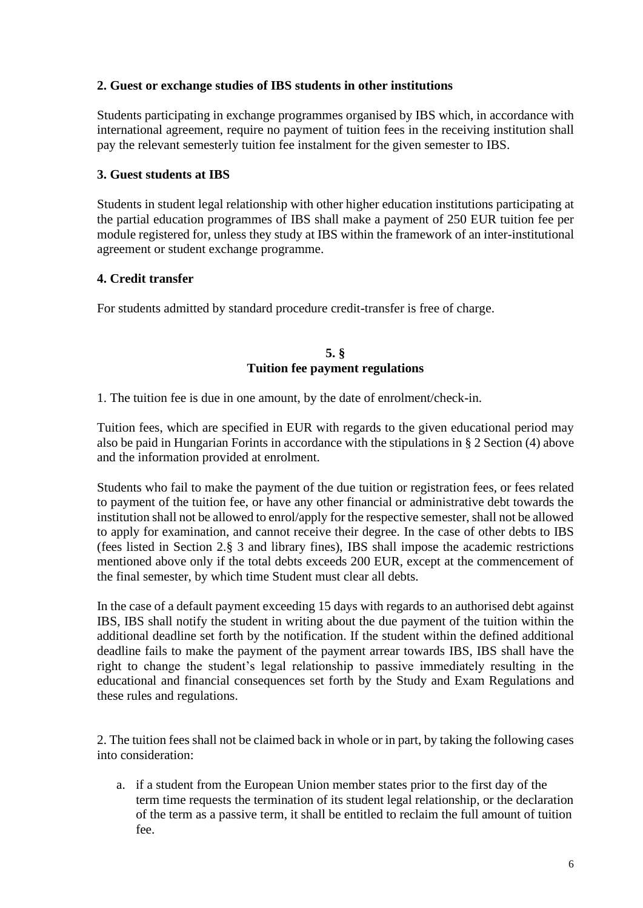## **2. Guest or exchange studies of IBS students in other institutions**

Students participating in exchange programmes organised by IBS which, in accordance with international agreement, require no payment of tuition fees in the receiving institution shall pay the relevant semesterly tuition fee instalment for the given semester to IBS.

## **3. Guest students at IBS**

Students in student legal relationship with other higher education institutions participating at the partial education programmes of IBS shall make a payment of 250 EUR tuition fee per module registered for, unless they study at IBS within the framework of an inter-institutional agreement or student exchange programme.

### **4. Credit transfer**

For students admitted by standard procedure credit-transfer is free of charge.

### **5. § Tuition fee payment regulations**

1. The tuition fee is due in one amount, by the date of enrolment/check-in.

Tuition fees, which are specified in EUR with regards to the given educational period may also be paid in Hungarian Forints in accordance with the stipulations in § 2 Section (4) above and the information provided at enrolment.

Students who fail to make the payment of the due tuition or registration fees, or fees related to payment of the tuition fee, or have any other financial or administrative debt towards the institution shall not be allowed to enrol/apply for the respective semester, shall not be allowed to apply for examination, and cannot receive their degree. In the case of other debts to IBS (fees listed in Section 2.§ 3 and library fines), IBS shall impose the academic restrictions mentioned above only if the total debts exceeds 200 EUR, except at the commencement of the final semester, by which time Student must clear all debts.

In the case of a default payment exceeding 15 days with regards to an authorised debt against IBS, IBS shall notify the student in writing about the due payment of the tuition within the additional deadline set forth by the notification. If the student within the defined additional deadline fails to make the payment of the payment arrear towards IBS, IBS shall have the right to change the student's legal relationship to passive immediately resulting in the educational and financial consequences set forth by the Study and Exam Regulations and these rules and regulations.

2. The tuition fees shall not be claimed back in whole or in part, by taking the following cases into consideration:

a. if a student from the European Union member states prior to the first day of the term time requests the termination of its student legal relationship, or the declaration of the term as a passive term, it shall be entitled to reclaim the full amount of tuition fee.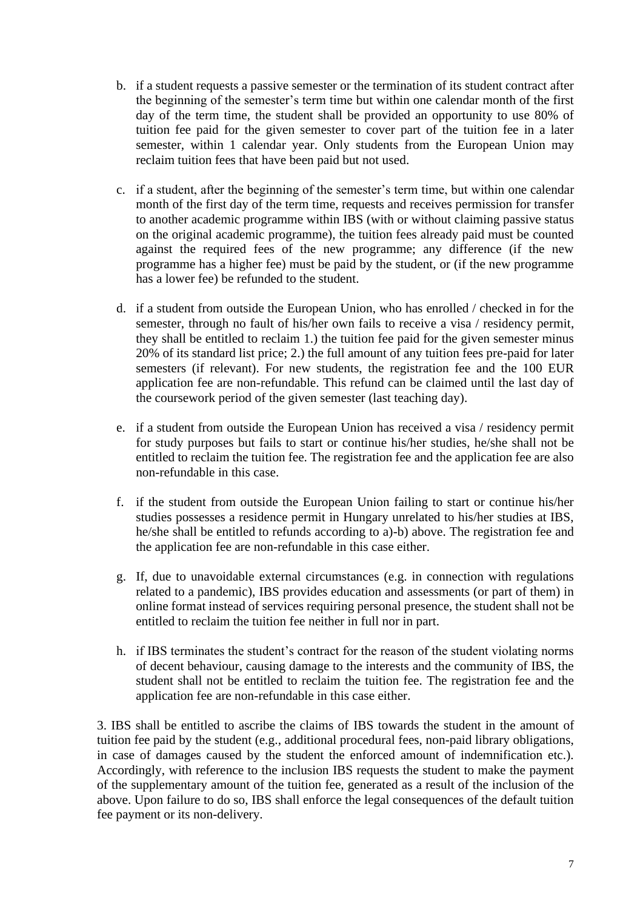- b. if a student requests a passive semester or the termination of its student contract after the beginning of the semester's term time but within one calendar month of the first day of the term time, the student shall be provided an opportunity to use 80% of tuition fee paid for the given semester to cover part of the tuition fee in a later semester, within 1 calendar year. Only students from the European Union may reclaim tuition fees that have been paid but not used.
- c. if a student, after the beginning of the semester's term time, but within one calendar month of the first day of the term time, requests and receives permission for transfer to another academic programme within IBS (with or without claiming passive status on the original academic programme), the tuition fees already paid must be counted against the required fees of the new programme; any difference (if the new programme has a higher fee) must be paid by the student, or (if the new programme has a lower fee) be refunded to the student.
- d. if a student from outside the European Union, who has enrolled / checked in for the semester, through no fault of his/her own fails to receive a visa / residency permit, they shall be entitled to reclaim 1.) the tuition fee paid for the given semester minus 20% of its standard list price; 2.) the full amount of any tuition fees pre-paid for later semesters (if relevant). For new students, the registration fee and the 100 EUR application fee are non-refundable. This refund can be claimed until the last day of the coursework period of the given semester (last teaching day).
- e. if a student from outside the European Union has received a visa / residency permit for study purposes but fails to start or continue his/her studies, he/she shall not be entitled to reclaim the tuition fee. The registration fee and the application fee are also non-refundable in this case.
- f. if the student from outside the European Union failing to start or continue his/her studies possesses a residence permit in Hungary unrelated to his/her studies at IBS, he/she shall be entitled to refunds according to a)-b) above. The registration fee and the application fee are non-refundable in this case either.
- g. If, due to unavoidable external circumstances (e.g. in connection with regulations related to a pandemic), IBS provides education and assessments (or part of them) in online format instead of services requiring personal presence, the student shall not be entitled to reclaim the tuition fee neither in full nor in part.
- h. if IBS terminates the student's contract for the reason of the student violating norms of decent behaviour, causing damage to the interests and the community of IBS, the student shall not be entitled to reclaim the tuition fee. The registration fee and the application fee are non-refundable in this case either.

3. IBS shall be entitled to ascribe the claims of IBS towards the student in the amount of tuition fee paid by the student (e.g., additional procedural fees, non-paid library obligations, in case of damages caused by the student the enforced amount of indemnification etc.). Accordingly, with reference to the inclusion IBS requests the student to make the payment of the supplementary amount of the tuition fee, generated as a result of the inclusion of the above. Upon failure to do so, IBS shall enforce the legal consequences of the default tuition fee payment or its non-delivery.